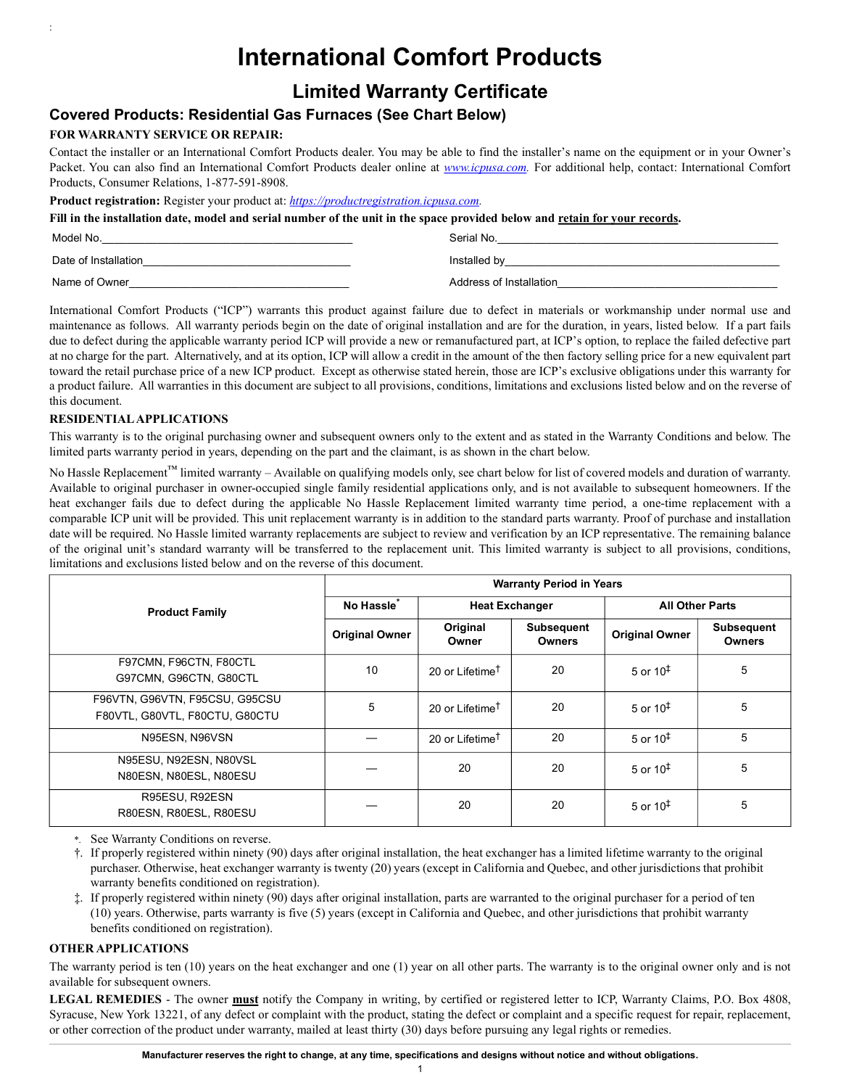# **International Comfort Products**

## **Limited Warranty Certificate**

### **Covered Products: Residential Gas Furnaces (See Chart Below)**

#### **FOR WARRANTY SERVICE OR REPAIR:**

:

Contact the installer or an International Comfort Products dealer. You may be able to find the installer's name on the equipment or in your Owner's Packet. You can also find an International Comfort Products dealer online at *www.icpusa.com.* For additional help, contact: International Comfort Products, Consumer Relations, 1-877-591-8908.

**Product registration:** Register your product at: *https://productregistration.icpusa.com.*

**Fill in the installation date, model and serial number of the unit in the space provided below and retain for your records.**

| Model No.            | Serial No.              |  |
|----------------------|-------------------------|--|
| Date of Installation | Installed by            |  |
| Name of Owner        | Address of Installation |  |

International Comfort Products ("ICP") warrants this product against failure due to defect in materials or workmanship under normal use and maintenance as follows. All warranty periods begin on the date of original installation and are for the duration, in years, listed below. If a part fails due to defect during the applicable warranty period ICP will provide a new or remanufactured part, at ICP's option, to replace the failed defective part at no charge for the part. Alternatively, and at its option, ICP will allow a credit in the amount of the then factory selling price for a new equivalent part toward the retail purchase price of a new ICP product. Except as otherwise stated herein, those are ICP's exclusive obligations under this warranty for a product failure. All warranties in this document are subject to all provisions, conditions, limitations and exclusions listed below and on the reverse of this document.

#### **RESIDENTIAL APPLICATIONS**

This warranty is to the original purchasing owner and subsequent owners only to the extent and as stated in the Warranty Conditions and below. The limited parts warranty period in years, depending on the part and the claimant, is as shown in the chart below.

No Hassle Replacement™ limited warranty – Available on qualifying models only, see chart below for list of covered models and duration of warranty. Available to original purchaser in owner-occupied single family residential applications only, and is not available to subsequent homeowners. If the heat exchanger fails due to defect during the applicable No Hassle Replacement limited warranty time period, a one-time replacement with a comparable ICP unit will be provided. This unit replacement warranty is in addition to the standard parts warranty. Proof of purchase and installation date will be required. No Hassle limited warranty replacements are subject to review and verification by an ICP representative. The remaining balance of the original unit's standard warranty will be transferred to the replacement unit. This limited warranty is subject to all provisions, conditions, limitations and exclusions listed below and on the reverse of this document.

| <b>Product Family</b>                                            | <b>Warranty Period in Years</b> |                             |                             |                        |                                    |  |
|------------------------------------------------------------------|---------------------------------|-----------------------------|-----------------------------|------------------------|------------------------------------|--|
|                                                                  | No Hassle <sup>®</sup>          | <b>Heat Exchanger</b>       |                             | <b>All Other Parts</b> |                                    |  |
|                                                                  | <b>Original Owner</b>           | Original<br>Owner           | Subsequent<br><b>Owners</b> | <b>Original Owner</b>  | <b>Subsequent</b><br><b>Owners</b> |  |
| F97CMN, F96CTN, F80CTL<br>G97CMN, G96CTN, G80CTL                 | 10                              | 20 or Lifetime <sup>†</sup> | 20                          | 5 or $10^{\ddagger}$   | 5                                  |  |
| F96VTN, G96VTN, F95CSU, G95CSU<br>F80VTL, G80VTL, F80CTU, G80CTU | 5                               | 20 or Lifetime <sup>T</sup> | 20                          | 5 or $10^{\ddagger}$   | 5                                  |  |
| N95ESN, N96VSN                                                   |                                 | 20 or Lifetime <sup>†</sup> | 20                          | 5 or $10^{\ddagger}$   | 5                                  |  |
| N95ESU, N92ESN, N80VSL<br>N80ESN, N80ESL, N80ESU                 |                                 | 20                          | 20                          | 5 or $10‡$             | 5                                  |  |
| R95ESU, R92ESN<br>R80ESN, R80ESL, R80ESU                         |                                 | 20                          | 20                          | 5 or $10^{\ddagger}$   | 5                                  |  |

\*. See Warranty Conditions on reverse.

<span id="page-0-0"></span>†. If properly registered within ninety (90) days after original installation, the heat exchanger has a limited lifetime warranty to the original purchaser. Otherwise, heat exchanger warranty is twenty (20) years (except in California and Quebec, and other jurisdictions that prohibit warranty benefits conditioned on registration).

<span id="page-0-1"></span>‡. If properly registered within ninety (90) days after original installation, parts are warranted to the original purchaser for a period of ten (10) years. Otherwise, parts warranty is five (5) years (except in California and Quebec, and other jurisdictions that prohibit warranty benefits conditioned on registration).

#### **OTHER APPLICATIONS**

The warranty period is ten (10) years on the heat exchanger and one (1) year on all other parts. The warranty is to the original owner only and is not available for subsequent owners.

**LEGAL REMEDIES** - The owner **must** notify the Company in writing, by certified or registered letter to ICP, Warranty Claims, P.O. Box 4808, Syracuse, New York 13221, of any defect or complaint with the product, stating the defect or complaint and a specific request for repair, replacement, or other correction of the product under warranty, mailed at least thirty (30) days before pursuing any legal rights or remedies.

1